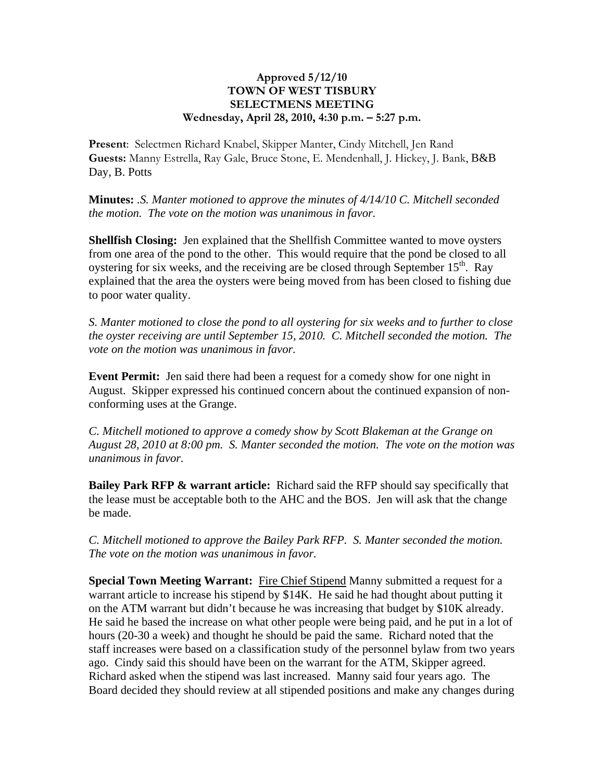## **Approved 5/12/10 TOWN OF WEST TISBURY SELECTMENS MEETING Wednesday, April 28, 2010, 4:30 p.m. – 5:27 p.m.**

**Present**: Selectmen Richard Knabel, Skipper Manter, Cindy Mitchell, Jen Rand **Guests:** Manny Estrella, Ray Gale, Bruce Stone, E. Mendenhall, J. Hickey, J. Bank, B&B Day, B. Potts

**Minutes:** *.S. Manter motioned to approve the minutes of 4/14/10 C. Mitchell seconded the motion. The vote on the motion was unanimous in favor.*

**Shellfish Closing:** Jen explained that the Shellfish Committee wanted to move oysters from one area of the pond to the other. This would require that the pond be closed to all oystering for six weeks, and the receiving are be closed through September  $15<sup>th</sup>$ . Ray explained that the area the oysters were being moved from has been closed to fishing due to poor water quality.

*S. Manter motioned to close the pond to all oystering for six weeks and to further to close the oyster receiving are until September 15, 2010. C. Mitchell seconded the motion. The vote on the motion was unanimous in favor.*

**Event Permit:** Jen said there had been a request for a comedy show for one night in August. Skipper expressed his continued concern about the continued expansion of nonconforming uses at the Grange.

*C. Mitchell motioned to approve a comedy show by Scott Blakeman at the Grange on August 28, 2010 at 8:00 pm. S. Manter seconded the motion. The vote on the motion was unanimous in favor.*

**Bailey Park RFP & warrant article:** Richard said the RFP should say specifically that the lease must be acceptable both to the AHC and the BOS. Jen will ask that the change be made.

*C. Mitchell motioned to approve the Bailey Park RFP. S. Manter seconded the motion. The vote on the motion was unanimous in favor.*

**Special Town Meeting Warrant:** Fire Chief Stipend Manny submitted a request for a warrant article to increase his stipend by \$14K. He said he had thought about putting it on the ATM warrant but didn't because he was increasing that budget by \$10K already. He said he based the increase on what other people were being paid, and he put in a lot of hours (20-30 a week) and thought he should be paid the same. Richard noted that the staff increases were based on a classification study of the personnel bylaw from two years ago. Cindy said this should have been on the warrant for the ATM, Skipper agreed. Richard asked when the stipend was last increased. Manny said four years ago. The Board decided they should review at all stipended positions and make any changes during